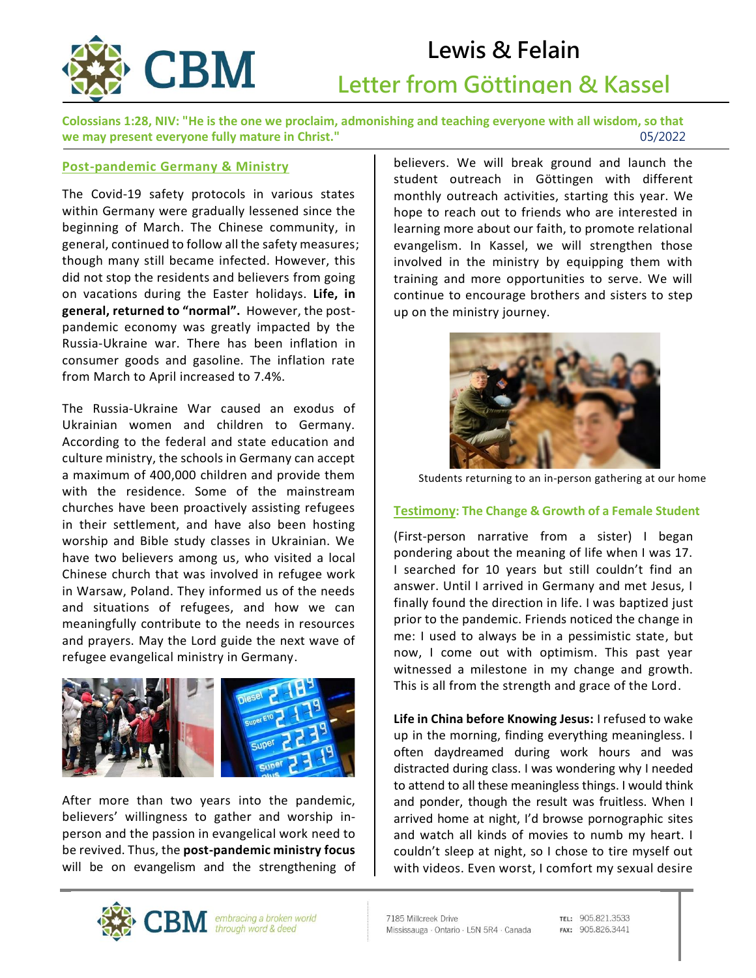

# **Lewis & Felain Letter from Göttingen & Kassel**

**Colossians 1:28, NIV: "He is the one we proclaim, admonishing and teaching everyone with all wisdom, so that we may present everyone fully mature in Christ."** 05/2022<br> **1997 - 1998 - 1998 - 1999 - 1999 - 1999 - 1999 - 1999 - 1999 - 1999 - 1999 - 1999 - 1999 - 1999 - 1999 - 1999 - 1999 - 1999 - 1999 - 1999 - 1999 - 1999 - 1999 -** 

#### **Post-pandemic Germany & Ministry**

The Covid-19 safety protocols in various states within Germany were gradually lessened since the beginning of March. The Chinese community, in general, continued to follow all the safety measures; though many still became infected. However, this did not stop the residents and believers from going on vacations during the Easter holidays. **Life, in general, returned to "normal".** However, the postpandemic economy was greatly impacted by the Russia-Ukraine war. There has been inflation in consumer goods and gasoline. The inflation rate from March to April increased to 7.4%.

The Russia-Ukraine War caused an exodus of Ukrainian women and children to Germany. According to the federal and state education and culture ministry, the schools in Germany can accept a maximum of 400,000 children and provide them with the residence. Some of the mainstream churches have been proactively assisting refugees in their settlement, and have also been hosting worship and Bible study classes in Ukrainian. We have two believers among us, who visited a local Chinese church that was involved in refugee work in Warsaw, Poland. They informed us of the needs and situations of refugees, and how we can meaningfully contribute to the needs in resources and prayers. May the Lord guide the next wave of refugee evangelical ministry in Germany.



After more than two years into the pandemic, believers' willingness to gather and worship inperson and the passion in evangelical work need to be revived. Thus, the **post-pandemic ministry focus**  will be on evangelism and the strengthening of believers. We will break ground and launch the student outreach in Göttingen with different monthly outreach activities, starting this year. We hope to reach out to friends who are interested in learning more about our faith, to promote relational evangelism. In Kassel, we will strengthen those involved in the ministry by equipping them with training and more opportunities to serve. We will continue to encourage brothers and sisters to step up on the ministry journey.

 $\overline{a}$ 



Students returning to an in-person gathering at our home

### **Testimony: The Change & Growth of a Female Student**

(First-person narrative from a sister) I began pondering about the meaning of life when I was 17. I searched for 10 years but still couldn't find an answer. Until I arrived in Germany and met Jesus, I finally found the direction in life. I was baptized just prior to the pandemic. Friends noticed the change in me: I used to always be in a pessimistic state, but now, I come out with optimism. This past year witnessed a milestone in my change and growth. This is all from the strength and grace of the Lord.

**Life in China before Knowing Jesus:** I refused to wake up in the morning, finding everything meaningless. I often daydreamed during work hours and was distracted during class. I was wondering why I needed to attend to all these meaningless things. I would think and ponder, though the result was fruitless. When I arrived home at night, I'd browse pornographic sites and watch all kinds of movies to numb my heart. I couldn't sleep at night, so I chose to tire myself out with videos. Even worst, I comfort my sexual desire



TEL: 905.821.3533 FAX: 905.826.3441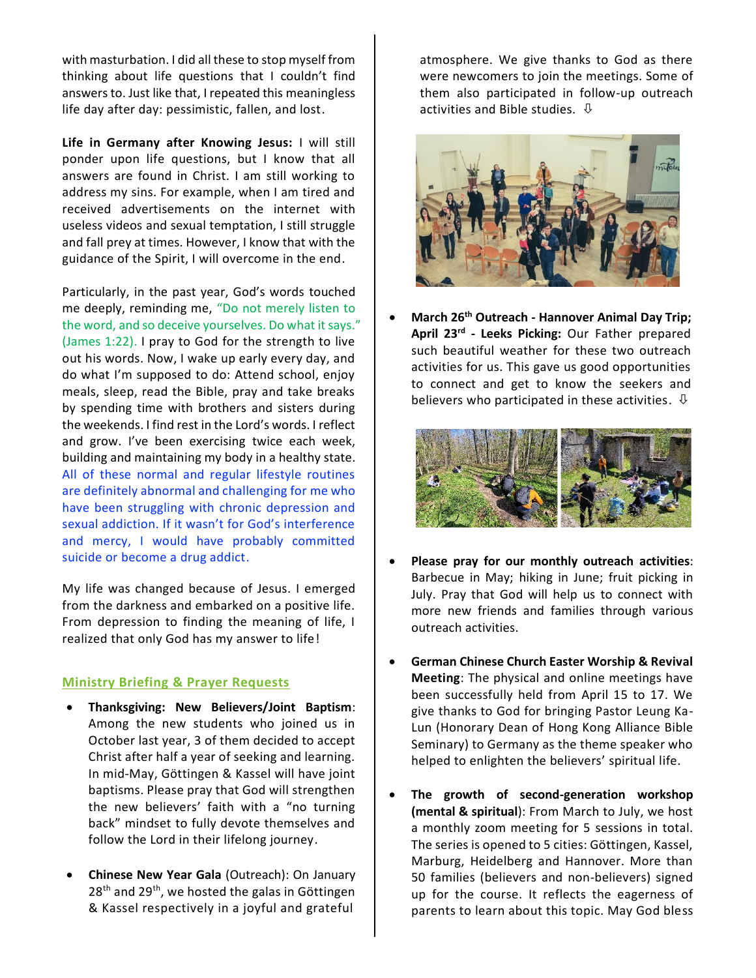with masturbation. I did all these to stop myself from thinking about life questions that I couldn't find answers to. Just like that, I repeated this meaningless life day after day: pessimistic, fallen, and lost.

**Life in Germany after Knowing Jesus:** I will still ponder upon life questions, but I know that all answers are found in Christ. I am still working to address my sins. For example, when I am tired and received advertisements on the internet with useless videos and sexual temptation, I still struggle and fall prey at times. However, I know that with the guidance of the Spirit, I will overcome in the end.

Particularly, in the past year, God's words touched me deeply, reminding me, "Do not merely listen to the word, and so deceive yourselves. Do what it says." (James 1:22). I pray to God for the strength to live out his words. Now, I wake up early every day, and do what I'm supposed to do: Attend school, enjoy meals, sleep, read the Bible, pray and take breaks by spending time with brothers and sisters during the weekends. I find rest in the Lord's words. I reflect and grow. I've been exercising twice each week, building and maintaining my body in a healthy state. All of these normal and regular lifestyle routines are definitely abnormal and challenging for me who have been struggling with chronic depression and sexual addiction. If it wasn't for God's interference and mercy, I would have probably committed suicide or become a drug addict.

My life was changed because of Jesus. I emerged from the darkness and embarked on a positive life. From depression to finding the meaning of life, I realized that only God has my answer to life!

#### **Ministry Briefing & Prayer Requests**

- **Thanksgiving: New Believers/Joint Baptism**: Among the new students who joined us in October last year, 3 of them decided to accept Christ after half a year of seeking and learning. In mid-May, Göttingen & Kassel will have joint baptisms. Please pray that God will strengthen the new believers' faith with a "no turning back" mindset to fully devote themselves and follow the Lord in their lifelong journey.
- **Chinese New Year Gala** (Outreach): On January 28<sup>th</sup> and 29<sup>th</sup>, we hosted the galas in Göttingen & Kassel respectively in a joyful and grateful

atmosphere. We give thanks to God as there were newcomers to join the meetings. Some of them also participated in follow-up outreach activities and Bible studies.  $\Phi$ 



• **March 26th Outreach - Hannover Animal Day Trip; April 23rd - Leeks Picking:** Our Father prepared such beautiful weather for these two outreach activities for us. This gave us good opportunities to connect and get to know the seekers and believers who participated in these activities.  $\overline{\psi}$ 



- **Please pray for our monthly outreach activities**: Barbecue in May; hiking in June; fruit picking in July. Pray that God will help us to connect with more new friends and families through various outreach activities.
- **German Chinese Church Easter Worship & Revival Meeting**: The physical and online meetings have been successfully held from April 15 to 17. We give thanks to God for bringing Pastor Leung Ka-Lun (Honorary Dean of Hong Kong Alliance Bible Seminary) to Germany as the theme speaker who helped to enlighten the believers' spiritual life.
- **The growth of second-generation workshop (mental & spiritual**): From March to July, we host a monthly zoom meeting for 5 sessions in total. The series is opened to 5 cities: Göttingen, Kassel, Marburg, Heidelberg and Hannover. More than 50 families (believers and non-believers) signed up for the course. It reflects the eagerness of parents to learn about this topic. May God bless